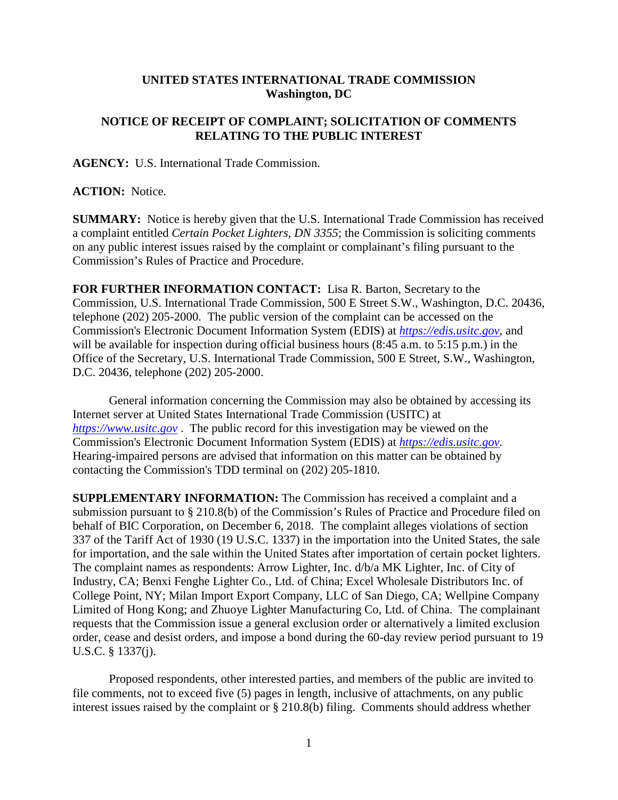## **UNITED STATES INTERNATIONAL TRADE COMMISSION Washington, DC**

## **NOTICE OF RECEIPT OF COMPLAINT; SOLICITATION OF COMMENTS RELATING TO THE PUBLIC INTEREST**

**AGENCY:** U.S. International Trade Commission.

## **ACTION:** Notice.

**SUMMARY:** Notice is hereby given that the U.S. International Trade Commission has received a complaint entitled *Certain Pocket Lighters, DN 3355*; the Commission is soliciting comments on any public interest issues raised by the complaint or complainant's filing pursuant to the Commission's Rules of Practice and Procedure.

**FOR FURTHER INFORMATION CONTACT:** Lisa R. Barton, Secretary to the Commission, U.S. International Trade Commission, 500 E Street S.W., Washington, D.C. 20436, telephone (202) 205-2000. The public version of the complaint can be accessed on the Commission's Electronic Document Information System (EDIS) at *[https://edis.usitc.gov](https://edis.usitc.gov/)*, and will be available for inspection during official business hours (8:45 a.m. to 5:15 p.m.) in the Office of the Secretary, U.S. International Trade Commission, 500 E Street, S.W., Washington, D.C. 20436, telephone (202) 205-2000.

General information concerning the Commission may also be obtained by accessing its Internet server at United States International Trade Commission (USITC) at *[https://www.usitc.gov](https://www.usitc.gov/)* . The public record for this investigation may be viewed on the Commission's Electronic Document Information System (EDIS) at *[https://edis.usitc.gov.](https://edis.usitc.gov/)* Hearing-impaired persons are advised that information on this matter can be obtained by contacting the Commission's TDD terminal on (202) 205-1810.

**SUPPLEMENTARY INFORMATION:** The Commission has received a complaint and a submission pursuant to § 210.8(b) of the Commission's Rules of Practice and Procedure filed on behalf of BIC Corporation, on December 6, 2018. The complaint alleges violations of section 337 of the Tariff Act of 1930 (19 U.S.C. 1337) in the importation into the United States, the sale for importation, and the sale within the United States after importation of certain pocket lighters. The complaint names as respondents: Arrow Lighter, Inc. d/b/a MK Lighter, Inc. of City of Industry, CA; Benxi Fenghe Lighter Co., Ltd. of China; Excel Wholesale Distributors Inc. of College Point, NY; Milan Import Export Company, LLC of San Diego, CA; Wellpine Company Limited of Hong Kong; and Zhuoye Lighter Manufacturing Co, Ltd. of China. The complainant requests that the Commission issue a general exclusion order or alternatively a limited exclusion order, cease and desist orders, and impose a bond during the 60-day review period pursuant to 19 U.S.C. § 1337(j).

Proposed respondents, other interested parties, and members of the public are invited to file comments, not to exceed five (5) pages in length, inclusive of attachments, on any public interest issues raised by the complaint or § 210.8(b) filing. Comments should address whether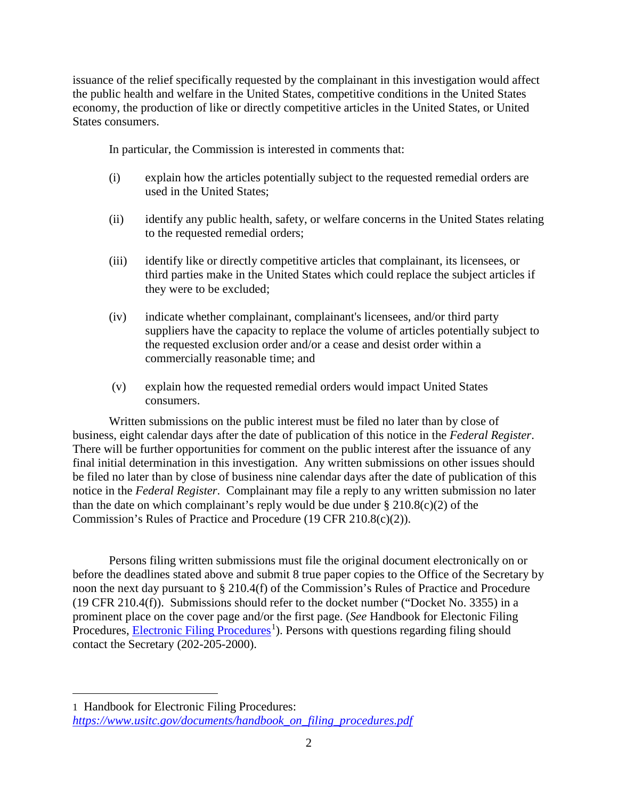issuance of the relief specifically requested by the complainant in this investigation would affect the public health and welfare in the United States, competitive conditions in the United States economy, the production of like or directly competitive articles in the United States, or United States consumers.

In particular, the Commission is interested in comments that:

- (i) explain how the articles potentially subject to the requested remedial orders are used in the United States;
- (ii) identify any public health, safety, or welfare concerns in the United States relating to the requested remedial orders;
- (iii) identify like or directly competitive articles that complainant, its licensees, or third parties make in the United States which could replace the subject articles if they were to be excluded;
- (iv) indicate whether complainant, complainant's licensees, and/or third party suppliers have the capacity to replace the volume of articles potentially subject to the requested exclusion order and/or a cease and desist order within a commercially reasonable time; and
- (v) explain how the requested remedial orders would impact United States consumers.

Written submissions on the public interest must be filed no later than by close of business, eight calendar days after the date of publication of this notice in the *Federal Register*. There will be further opportunities for comment on the public interest after the issuance of any final initial determination in this investigation. Any written submissions on other issues should be filed no later than by close of business nine calendar days after the date of publication of this notice in the *Federal Register*. Complainant may file a reply to any written submission no later than the date on which complainant's reply would be due under  $\S 210.8(c)(2)$  of the Commission's Rules of Practice and Procedure (19 CFR 210.8(c)(2)).

Persons filing written submissions must file the original document electronically on or before the deadlines stated above and submit 8 true paper copies to the Office of the Secretary by noon the next day pursuant to § 210.4(f) of the Commission's Rules of Practice and Procedure (19 CFR 210.4(f)). Submissions should refer to the docket number ("Docket No. 3355) in a prominent place on the cover page and/or the first page. (*See* Handbook for Electonic Filing Procedures, **Electronic Filing Procedures**<sup>[1](#page-1-0)</sup>). Persons with questions regarding filing should contact the Secretary (202-205-2000).

 $\overline{a}$ 

<span id="page-1-0"></span><sup>1</sup> Handbook for Electronic Filing Procedures: *[https://www.usitc.gov/documents/handbook\\_on\\_filing\\_procedures.pdf](https://www.usitc.gov/documents/handbook_on_filing_procedures.pdf)*